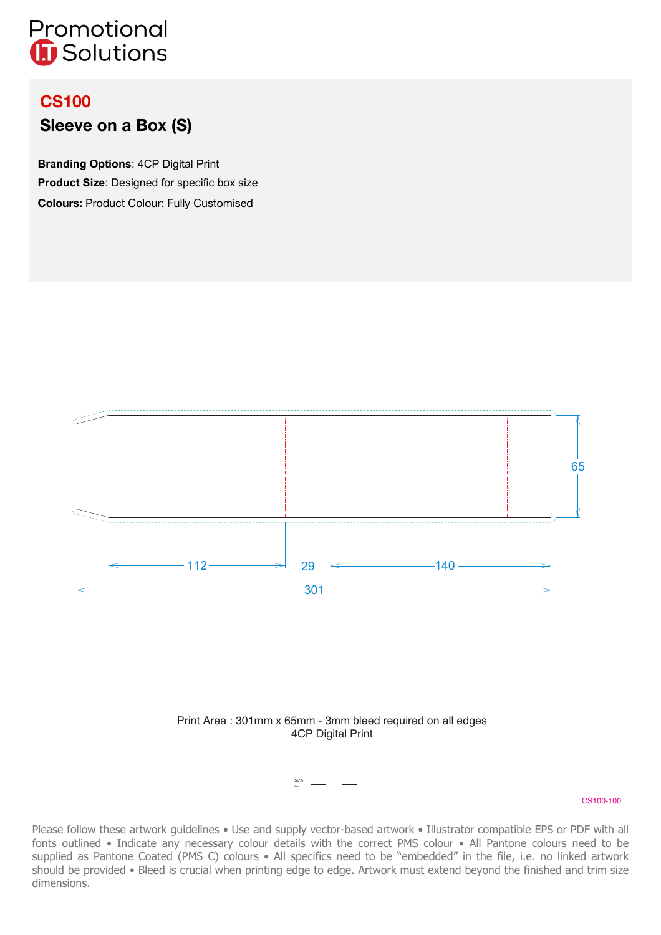# Promotional **G** Solutions

## **CS100**

### **Sleeve on a Box (S)**

**Branding Options**: 4CP Digital Print **Product Size**: Designed for specific box size **Colours:** Product Colour: Fully Customised





50%

#### CS100-100

Please follow these artwork guidelines • Use and supply vector-based artwork • Illustrator compatible EPS or PDF with all fonts outlined • Indicate any necessary colour details with the correct PMS colour • All Pantone colours need to be supplied as Pantone Coated (PMS C) colours • All specifics need to be "embedded" in the file, i.e. no linked artwork should be provided • Bleed is crucial when printing edge to edge. Artwork must extend beyond the finished and trim size dimensions.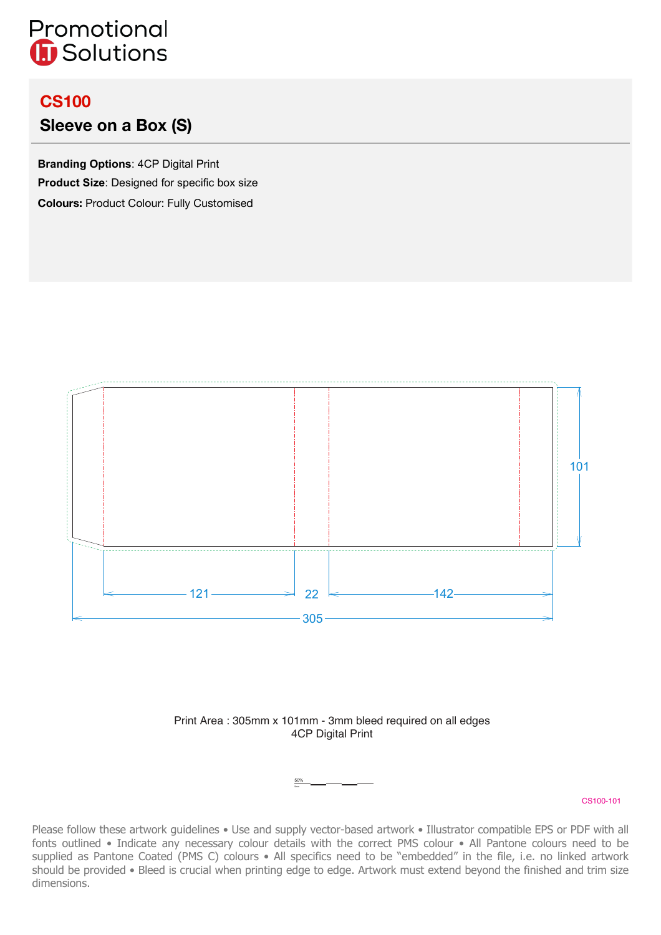# Promotional **G** Solutions

## **CS100**

### **Sleeve on a Box (S)**

**Branding Options**: 4CP Digital Print **Product Size**: Designed for specific box size **Colours:** Product Colour: Fully Customised



### Print Area : 305mm x 101mm - 3mm bleed required on all edges 4CP Digital Print

50%

#### CS100-101

Please follow these artwork guidelines • Use and supply vector-based artwork • Illustrator compatible EPS or PDF with all fonts outlined • Indicate any necessary colour details with the correct PMS colour • All Pantone colours need to be supplied as Pantone Coated (PMS C) colours • All specifics need to be "embedded" in the file, i.e. no linked artwork should be provided • Bleed is crucial when printing edge to edge. Artwork must extend beyond the finished and trim size dimensions.